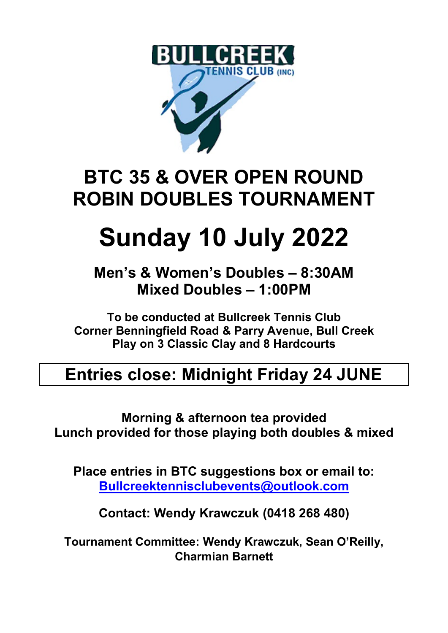

### **BTC 35 & OVER OPEN ROUND ROBIN DOUBLES TOURNAMENT**

# **Sunday 10 July 2022**

**Men's & Women's Doubles – 8:30AM Mixed Doubles – 1:00PM**

**To be conducted at Bullcreek Tennis Club Corner Benningfield Road & Parry Avenue, Bull Creek Play on 3 Classic Clay and 8 Hardcourts**

#### **Entries close: Midnight Friday 24 JUNE**

**Morning & afternoon tea provided Lunch provided for those playing both doubles & mixed**

**Place entries in BTC suggestions box or email to: [Bullcreektennisclubevents@outlook.com](mailto:Bullcreektennisclubevents@outlook.com?subject=35%20and%20Over%20Doubles%20Tournament)**

**Contact: Wendy Krawczuk (0418 268 480)**

**Tournament Committee: Wendy Krawczuk, Sean O'Reilly, Charmian Barnett**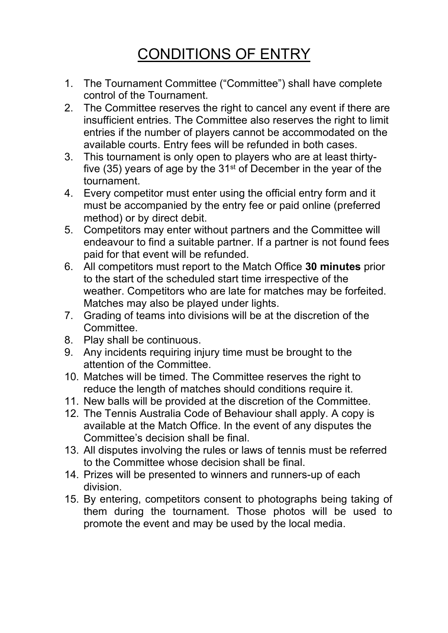#### CONDITIONS OF ENTRY

- 1. The Tournament Committee ("Committee") shall have complete control of the Tournament.
- 2. The Committee reserves the right to cancel any event if there are insufficient entries. The Committee also reserves the right to limit entries if the number of players cannot be accommodated on the available courts. Entry fees will be refunded in both cases.
- 3. This tournament is only open to players who are at least thirtyfive (35) years of age by the  $31<sup>st</sup>$  of December in the year of the tournament.
- 4. Every competitor must enter using the official entry form and it must be accompanied by the entry fee or paid online (preferred method) or by direct debit.
- 5. Competitors may enter without partners and the Committee will endeavour to find a suitable partner. If a partner is not found fees paid for that event will be refunded.
- 6. All competitors must report to the Match Office **30 minutes** prior to the start of the scheduled start time irrespective of the weather. Competitors who are late for matches may be forfeited. Matches may also be played under lights.
- 7. Grading of teams into divisions will be at the discretion of the **Committee.**
- 8. Play shall be continuous.
- 9. Any incidents requiring injury time must be brought to the attention of the Committee.
- 10. Matches will be timed. The Committee reserves the right to reduce the length of matches should conditions require it.
- 11. New balls will be provided at the discretion of the Committee.
- 12. The Tennis Australia Code of Behaviour shall apply. A copy is available at the Match Office. In the event of any disputes the Committee's decision shall be final.
- 13. All disputes involving the rules or laws of tennis must be referred to the Committee whose decision shall be final.
- 14. Prizes will be presented to winners and runners-up of each division.
- 15. By entering, competitors consent to photographs being taking of them during the tournament. Those photos will be used to promote the event and may be used by the local media.